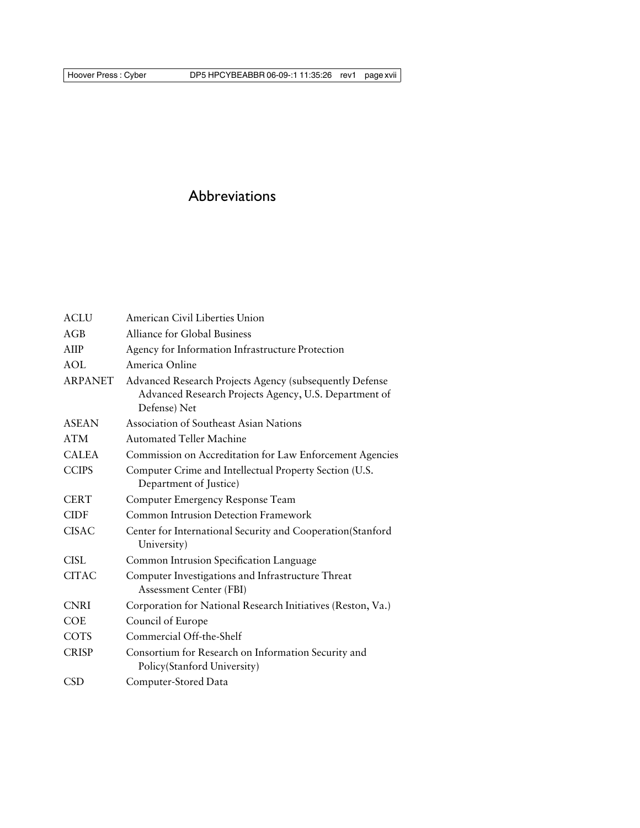## Abbreviations

| <b>ACLU</b>    | American Civil Liberties Union                                                                                                   |
|----------------|----------------------------------------------------------------------------------------------------------------------------------|
| AGB            | Alliance for Global Business                                                                                                     |
| AIIP           | Agency for Information Infrastructure Protection                                                                                 |
| AOL            | America Online                                                                                                                   |
| <b>ARPANET</b> | Advanced Research Projects Agency (subsequently Defense<br>Advanced Research Projects Agency, U.S. Department of<br>Defense) Net |
| <b>ASEAN</b>   | <b>Association of Southeast Asian Nations</b>                                                                                    |
| <b>ATM</b>     | <b>Automated Teller Machine</b>                                                                                                  |
| <b>CALEA</b>   | Commission on Accreditation for Law Enforcement Agencies                                                                         |
| <b>CCIPS</b>   | Computer Crime and Intellectual Property Section (U.S.<br>Department of Justice)                                                 |
| <b>CERT</b>    | Computer Emergency Response Team                                                                                                 |
| <b>CIDF</b>    | <b>Common Intrusion Detection Framework</b>                                                                                      |
| <b>CISAC</b>   | Center for International Security and Cooperation(Stanford<br>University)                                                        |
| CISL           | Common Intrusion Specification Language                                                                                          |
| <b>CITAC</b>   | Computer Investigations and Infrastructure Threat<br><b>Assessment Center (FBI)</b>                                              |
| <b>CNRI</b>    | Corporation for National Research Initiatives (Reston, Va.)                                                                      |
| <b>COE</b>     | Council of Europe                                                                                                                |
| <b>COTS</b>    | Commercial Off-the-Shelf                                                                                                         |
| <b>CRISP</b>   | Consortium for Research on Information Security and<br>Policy(Stanford University)                                               |
| <b>CSD</b>     | Computer-Stored Data                                                                                                             |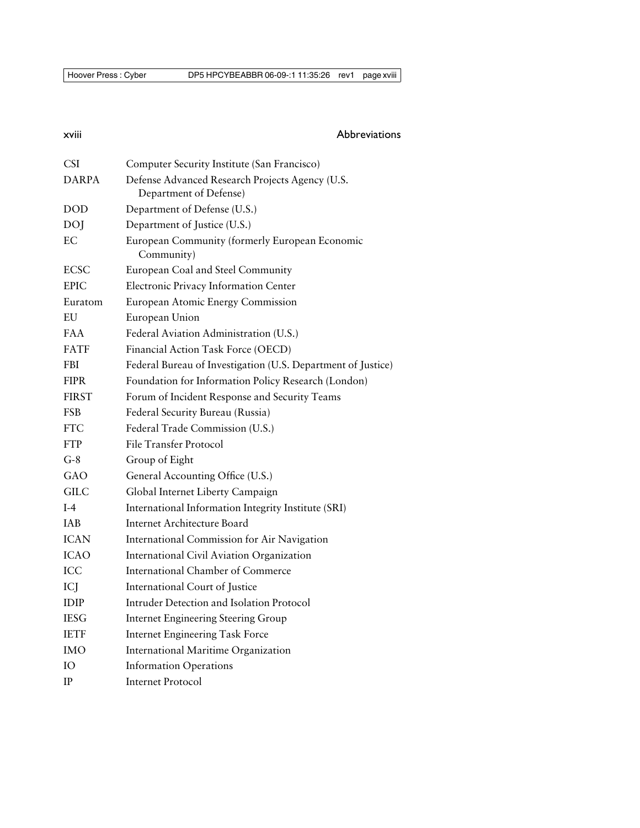## xviii Abbreviations

| <b>CSI</b>   | Computer Security Institute (San Francisco)                               |
|--------------|---------------------------------------------------------------------------|
| <b>DARPA</b> | Defense Advanced Research Projects Agency (U.S.<br>Department of Defense) |
| <b>DOD</b>   | Department of Defense (U.S.)                                              |
| DOJ          | Department of Justice (U.S.)                                              |
| EС           | European Community (formerly European Economic<br>Community)              |
| <b>ECSC</b>  | European Coal and Steel Community                                         |
| <b>EPIC</b>  | Electronic Privacy Information Center                                     |
| Euratom      | European Atomic Energy Commission                                         |
| EU           | European Union                                                            |
| <b>FAA</b>   | Federal Aviation Administration (U.S.)                                    |
| <b>FATF</b>  | Financial Action Task Force (OECD)                                        |
| <b>FBI</b>   | Federal Bureau of Investigation (U.S. Department of Justice)              |
| <b>FIPR</b>  | Foundation for Information Policy Research (London)                       |
| <b>FIRST</b> | Forum of Incident Response and Security Teams                             |
| FSB          | Federal Security Bureau (Russia)                                          |
| <b>FTC</b>   | Federal Trade Commission (U.S.)                                           |
| <b>FTP</b>   | File Transfer Protocol                                                    |
| $G-8$        | Group of Eight                                                            |
| GAO          | General Accounting Office (U.S.)                                          |
| <b>GILC</b>  | Global Internet Liberty Campaign                                          |
| $I-4$        | International Information Integrity Institute (SRI)                       |
| <b>IAB</b>   | Internet Architecture Board                                               |
| <b>ICAN</b>  | International Commission for Air Navigation                               |
| <b>ICAO</b>  | International Civil Aviation Organization                                 |
| ICC          | <b>International Chamber of Commerce</b>                                  |
| ICJ          | International Court of Justice                                            |
| <b>IDIP</b>  | Intruder Detection and Isolation Protocol                                 |
| <b>IESG</b>  | <b>Internet Engineering Steering Group</b>                                |
| <b>IETF</b>  | <b>Internet Engineering Task Force</b>                                    |
| IMO          | International Maritime Organization                                       |
| IО           | <b>Information Operations</b>                                             |
| $_{\rm IP}$  | <b>Internet Protocol</b>                                                  |